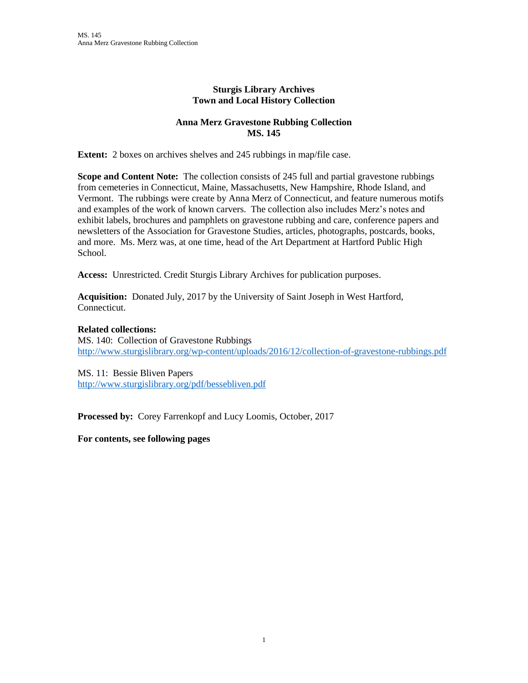### **Sturgis Library Archives Town and Local History Collection**

### **Anna Merz Gravestone Rubbing Collection MS. 145**

**Extent:** 2 boxes on archives shelves and 245 rubbings in map/file case.

**Scope and Content Note:** The collection consists of 245 full and partial gravestone rubbings from cemeteries in Connecticut, Maine, Massachusetts, New Hampshire, Rhode Island, and Vermont. The rubbings were create by Anna Merz of Connecticut, and feature numerous motifs and examples of the work of known carvers. The collection also includes Merz's notes and exhibit labels, brochures and pamphlets on gravestone rubbing and care, conference papers and newsletters of the Association for Gravestone Studies, articles, photographs, postcards, books, and more. Ms. Merz was, at one time, head of the Art Department at Hartford Public High School.

**Access:** Unrestricted. Credit Sturgis Library Archives for publication purposes.

**Acquisition:** Donated July, 2017 by the University of Saint Joseph in West Hartford, Connecticut.

### **Related collections:**

MS. 140: Collection of Gravestone Rubbings <http://www.sturgislibrary.org/wp-content/uploads/2016/12/collection-of-gravestone-rubbings.pdf>

MS. 11: Bessie Bliven Papers <http://www.sturgislibrary.org/pdf/bessebliven.pdf>

**Processed by:** Corey Farrenkopf and Lucy Loomis, October, 2017

**For contents, see following pages**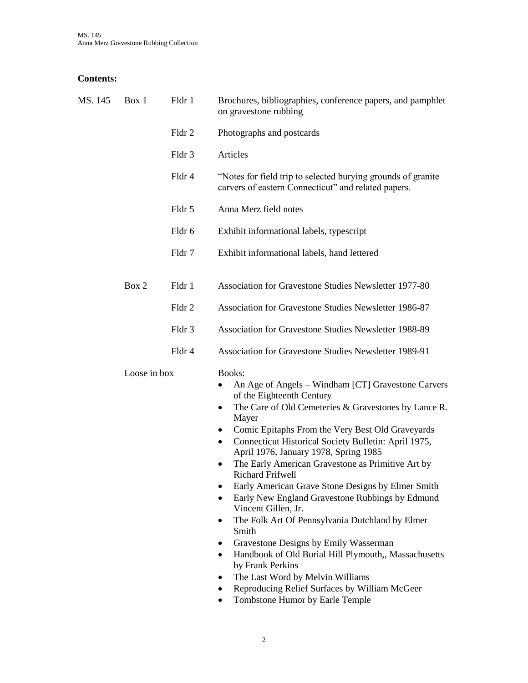# **Contents:**

| MS. 145 | Box 1        | Fldr 1 | Brochures, bibliographies, conference papers, and pamphlet<br>on gravestone rubbing                                                                                                                                                                                                                                                                                                                                                                                                                                                                                                                                                                                                                                                                                                                                                                                                                            |
|---------|--------------|--------|----------------------------------------------------------------------------------------------------------------------------------------------------------------------------------------------------------------------------------------------------------------------------------------------------------------------------------------------------------------------------------------------------------------------------------------------------------------------------------------------------------------------------------------------------------------------------------------------------------------------------------------------------------------------------------------------------------------------------------------------------------------------------------------------------------------------------------------------------------------------------------------------------------------|
|         |              | Fldr 2 | Photographs and postcards                                                                                                                                                                                                                                                                                                                                                                                                                                                                                                                                                                                                                                                                                                                                                                                                                                                                                      |
|         |              | Fldr 3 | Articles                                                                                                                                                                                                                                                                                                                                                                                                                                                                                                                                                                                                                                                                                                                                                                                                                                                                                                       |
|         |              | Fldr 4 | "Notes for field trip to selected burying grounds of granite<br>carvers of eastern Connecticut" and related papers.                                                                                                                                                                                                                                                                                                                                                                                                                                                                                                                                                                                                                                                                                                                                                                                            |
|         |              | Fldr 5 | Anna Merz field notes                                                                                                                                                                                                                                                                                                                                                                                                                                                                                                                                                                                                                                                                                                                                                                                                                                                                                          |
|         |              | Fldr 6 | Exhibit informational labels, typescript                                                                                                                                                                                                                                                                                                                                                                                                                                                                                                                                                                                                                                                                                                                                                                                                                                                                       |
|         |              | Fldr 7 | Exhibit informational labels, hand lettered                                                                                                                                                                                                                                                                                                                                                                                                                                                                                                                                                                                                                                                                                                                                                                                                                                                                    |
|         | Box 2        | Fldr 1 | Association for Gravestone Studies Newsletter 1977-80                                                                                                                                                                                                                                                                                                                                                                                                                                                                                                                                                                                                                                                                                                                                                                                                                                                          |
|         |              | Fldr 2 | Association for Gravestone Studies Newsletter 1986-87                                                                                                                                                                                                                                                                                                                                                                                                                                                                                                                                                                                                                                                                                                                                                                                                                                                          |
|         |              | Fldr 3 | <b>Association for Gravestone Studies Newsletter 1988-89</b>                                                                                                                                                                                                                                                                                                                                                                                                                                                                                                                                                                                                                                                                                                                                                                                                                                                   |
|         |              | Fldr 4 | Association for Gravestone Studies Newsletter 1989-91                                                                                                                                                                                                                                                                                                                                                                                                                                                                                                                                                                                                                                                                                                                                                                                                                                                          |
|         | Loose in box |        | Books:<br>An Age of Angels - Windham [CT] Gravestone Carvers<br>٠<br>of the Eighteenth Century<br>The Care of Old Cemeteries & Gravestones by Lance R.<br>$\bullet$<br>Mayer<br>Comic Epitaphs From the Very Best Old Graveyards<br>٠<br>Connecticut Historical Society Bulletin: April 1975,<br>٠<br>April 1976, January 1978, Spring 1985<br>The Early American Gravestone as Primitive Art by<br>٠<br><b>Richard Frifwell</b><br>Early American Grave Stone Designs by Elmer Smith<br>Early New England Gravestone Rubbings by Edmund<br>Vincent Gillen, Jr.<br>The Folk Art Of Pennsylvania Dutchland by Elmer<br>$\bullet$<br>Smith<br>Gravestone Designs by Emily Wasserman<br>٠<br>Handbook of Old Burial Hill Plymouth,, Massachusetts<br>٠<br>by Frank Perkins<br>The Last Word by Melvin Williams<br>٠<br>Reproducing Relief Surfaces by William McGeer<br>٠<br>Tombstone Humor by Earle Temple<br>٠ |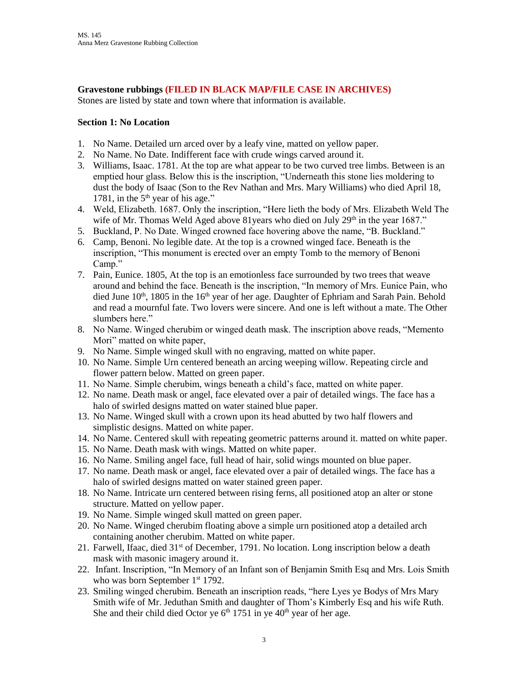**Gravestone rubbings (FILED IN BLACK MAP/FILE CASE IN ARCHIVES)**

Stones are listed by state and town where that information is available.

#### **Section 1: No Location**

- 1. No Name. Detailed urn arced over by a leafy vine, matted on yellow paper.
- 2. No Name. No Date. Indifferent face with crude wings carved around it.
- 3. Williams, Isaac. 1781. At the top are what appear to be two curved tree limbs. Between is an emptied hour glass. Below this is the inscription, "Underneath this stone lies moldering to dust the body of Isaac (Son to the Rev Nathan and Mrs. Mary Williams) who died April 18, 1781, in the  $5<sup>th</sup>$  year of his age."
- 4. Weld, Elizabeth. 1687. Only the inscription, "Here lieth the body of Mrs. Elizabeth Weld The wife of Mr. Thomas Weld Aged above 81 years who died on July  $29<sup>th</sup>$  in the year 1687."
- 5. Buckland, P. No Date. Winged crowned face hovering above the name, "B. Buckland."
- 6. Camp, Benoni. No legible date. At the top is a crowned winged face. Beneath is the inscription, "This monument is erected over an empty Tomb to the memory of Benoni Camp."
- 7. Pain, Eunice. 1805, At the top is an emotionless face surrounded by two trees that weave around and behind the face. Beneath is the inscription, "In memory of Mrs. Eunice Pain, who died June  $10^{th}$ , 1805 in the  $16^{th}$  year of her age. Daughter of Ephriam and Sarah Pain. Behold and read a mournful fate. Two lovers were sincere. And one is left without a mate. The Other slumbers here."
- 8. No Name. Winged cherubim or winged death mask. The inscription above reads, "Memento Mori" matted on white paper,
- 9. No Name. Simple winged skull with no engraving, matted on white paper.
- 10. No Name. Simple Urn centered beneath an arcing weeping willow. Repeating circle and flower pattern below. Matted on green paper.
- 11. No Name. Simple cherubim, wings beneath a child's face, matted on white paper.
- 12. No name. Death mask or angel, face elevated over a pair of detailed wings. The face has a halo of swirled designs matted on water stained blue paper.
- 13. No Name. Winged skull with a crown upon its head abutted by two half flowers and simplistic designs. Matted on white paper.
- 14. No Name. Centered skull with repeating geometric patterns around it. matted on white paper.
- 15. No Name. Death mask with wings. Matted on white paper.
- 16. No Name. Smiling angel face, full head of hair, solid wings mounted on blue paper.
- 17. No name. Death mask or angel, face elevated over a pair of detailed wings. The face has a halo of swirled designs matted on water stained green paper.
- 18. No Name. Intricate urn centered between rising ferns, all positioned atop an alter or stone structure. Matted on yellow paper.
- 19. No Name. Simple winged skull matted on green paper.
- 20. No Name. Winged cherubim floating above a simple urn positioned atop a detailed arch containing another cherubim. Matted on white paper.
- 21. Farwell, Ifaac, died  $31<sup>st</sup>$  of December, 1791. No location. Long inscription below a death mask with masonic imagery around it.
- 22. Infant. Inscription, "In Memory of an Infant son of Benjamin Smith Esq and Mrs. Lois Smith who was born September 1<sup>st</sup> 1792.
- 23. Smiling winged cherubim. Beneath an inscription reads, "here Lyes ye Bodys of Mrs Mary Smith wife of Mr. Jeduthan Smith and daughter of Thom's Kimberly Esq and his wife Ruth. She and their child died Octor ye  $6<sup>th</sup> 1751$  in ye  $40<sup>th</sup>$  year of her age.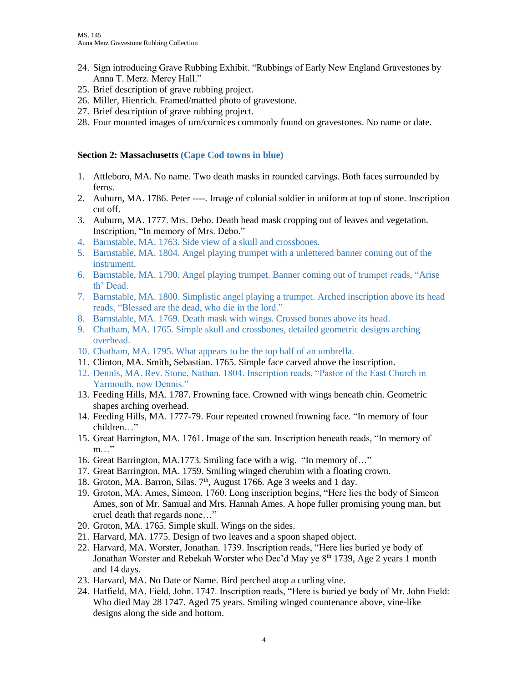- 24. Sign introducing Grave Rubbing Exhibit. "Rubbings of Early New England Gravestones by Anna T. Merz. Mercy Hall."
- 25. Brief description of grave rubbing project.
- 26. Miller, Hienrich. Framed/matted photo of gravestone.
- 27. Brief description of grave rubbing project.
- 28. Four mounted images of urn/cornices commonly found on gravestones. No name or date.

#### **Section 2: Massachusetts (Cape Cod towns in blue)**

- 1. Attleboro, MA. No name. Two death masks in rounded carvings. Both faces surrounded by ferns.
- 2. Auburn, MA. 1786. Peter ----. Image of colonial soldier in uniform at top of stone. Inscription cut off.
- 3. Auburn, MA. 1777. Mrs. Debo. Death head mask cropping out of leaves and vegetation. Inscription, "In memory of Mrs. Debo."
- 4. Barnstable, MA. 1763. Side view of a skull and crossbones.
- 5. Barnstable, MA. 1804. Angel playing trumpet with a unlettered banner coming out of the instrument.
- 6. Barnstable, MA. 1790. Angel playing trumpet. Banner coming out of trumpet reads, "Arise th' Dead.
- 7. Barnstable, MA. 1800. Simplistic angel playing a trumpet. Arched inscription above its head reads, "Blessed are the dead, who die in the lord."
- 8. Barnstable, MA. 1769. Death mask with wings. Crossed bones above its head.
- 9. Chatham, MA. 1765. Simple skull and crossbones, detailed geometric designs arching overhead.
- 10. Chatham, MA. 1795. What appears to be the top half of an umbrella.
- 11. Clinton, MA. Smith, Sebastian. 1765. Simple face carved above the inscription.
- 12. Dennis, MA. Rev. Stone, Nathan. 1804. Inscription reads, "Pastor of the East Church in Yarmouth, now Dennis."
- 13. Feeding Hills, MA. 1787. Frowning face. Crowned with wings beneath chin. Geometric shapes arching overhead.
- 14. Feeding Hills, MA. 1777-79. Four repeated crowned frowning face. "In memory of four children…"
- 15. Great Barrington, MA. 1761. Image of the sun. Inscription beneath reads, "In memory of m…"
- 16. Great Barrington, MA.1773. Smiling face with a wig. "In memory of…"
- 17. Great Barrington, MA. 1759. Smiling winged cherubim with a floating crown.
- 18. Groton, MA. Barron, Silas. 7<sup>th</sup>, August 1766. Age 3 weeks and 1 day.
- 19. Groton, MA. Ames, Simeon. 1760. Long inscription begins, "Here lies the body of Simeon Ames, son of Mr. Samual and Mrs. Hannah Ames. A hope fuller promising young man, but cruel death that regards none…"
- 20. Groton, MA. 1765. Simple skull. Wings on the sides.
- 21. Harvard, MA. 1775. Design of two leaves and a spoon shaped object.
- 22. Harvard, MA. Worster, Jonathan. 1739. Inscription reads, "Here lies buried ye body of Jonathan Worster and Rebekah Worster who Dec'd May ye  $8<sup>th</sup>$  1739, Age 2 years 1 month and 14 days.
- 23. Harvard, MA. No Date or Name. Bird perched atop a curling vine.
- 24. Hatfield, MA. Field, John. 1747. Inscription reads, "Here is buried ye body of Mr. John Field: Who died May 28 1747. Aged 75 years. Smiling winged countenance above, vine-like designs along the side and bottom.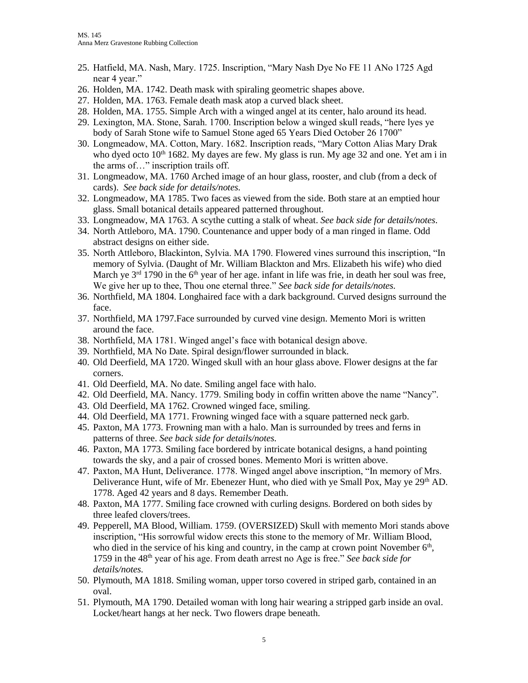- 25. Hatfield, MA. Nash, Mary. 1725. Inscription, "Mary Nash Dye No FE 11 ANo 1725 Agd near 4 year."
- 26. Holden, MA. 1742. Death mask with spiraling geometric shapes above.
- 27. Holden, MA. 1763. Female death mask atop a curved black sheet.
- 28. Holden, MA. 1755. Simple Arch with a winged angel at its center, halo around its head.
- 29. Lexington, MA. Stone, Sarah. 1700. Inscription below a winged skull reads, "here lyes ye body of Sarah Stone wife to Samuel Stone aged 65 Years Died October 26 1700"
- 30. Longmeadow, MA. Cotton, Mary. 1682. Inscription reads, "Mary Cotton Alias Mary Drak who dyed octo  $10<sup>th</sup> 1682$ . My dayes are few. My glass is run. My age 32 and one. Yet am i in the arms of…" inscription trails off.
- 31. Longmeadow, MA. 1760 Arched image of an hour glass, rooster, and club (from a deck of cards). *See back side for details/notes.*
- 32. Longmeadow, MA 1785. Two faces as viewed from the side. Both stare at an emptied hour glass. Small botanical details appeared patterned throughout.
- 33. Longmeadow, MA 1763. A scythe cutting a stalk of wheat. *See back side for details/notes.*
- 34. North Attleboro, MA. 1790. Countenance and upper body of a man ringed in flame. Odd abstract designs on either side.
- 35. North Attleboro, Blackinton, Sylvia. MA 1790. Flowered vines surround this inscription, "In memory of Sylvia. (Daught of Mr. William Blackton and Mrs. Elizabeth his wife) who died March ye  $3<sup>rd</sup>$  1790 in the 6<sup>th</sup> year of her age. infant in life was frie, in death her soul was free, We give her up to thee, Thou one eternal three." *See back side for details/notes.*
- 36. Northfield, MA 1804. Longhaired face with a dark background. Curved designs surround the face.
- 37. Northfield, MA 1797.Face surrounded by curved vine design. Memento Mori is written around the face.
- 38. Northfield, MA 1781. Winged angel's face with botanical design above.
- 39. Northfield, MA No Date. Spiral design/flower surrounded in black.
- 40. Old Deerfield, MA 1720. Winged skull with an hour glass above. Flower designs at the far corners.
- 41. Old Deerfield, MA. No date. Smiling angel face with halo.
- 42. Old Deerfield, MA. Nancy. 1779. Smiling body in coffin written above the name "Nancy".
- 43. Old Deerfield, MA 1762. Crowned winged face, smiling.
- 44. Old Deerfield, MA 1771. Frowning winged face with a square patterned neck garb.
- 45. Paxton, MA 1773. Frowning man with a halo. Man is surrounded by trees and ferns in patterns of three. *See back side for details/notes.*
- 46. Paxton, MA 1773. Smiling face bordered by intricate botanical designs, a hand pointing towards the sky, and a pair of crossed bones. Memento Mori is written above.
- 47. Paxton, MA Hunt, Deliverance. 1778. Winged angel above inscription, "In memory of Mrs. Deliverance Hunt, wife of Mr. Ebenezer Hunt, who died with ye Small Pox, May ye  $29<sup>th</sup>$  AD. 1778. Aged 42 years and 8 days. Remember Death.
- 48. Paxton, MA 1777. Smiling face crowned with curling designs. Bordered on both sides by three leafed clovers/trees.
- 49. Pepperell, MA Blood, William. 1759. (OVERSIZED) Skull with memento Mori stands above inscription, "His sorrowful widow erects this stone to the memory of Mr. William Blood, who died in the service of his king and country, in the camp at crown point November  $6<sup>th</sup>$ , 1759 in the 48th year of his age. From death arrest no Age is free." *See back side for details/notes.*
- 50. Plymouth, MA 1818. Smiling woman, upper torso covered in striped garb, contained in an oval.
- 51. Plymouth, MA 1790. Detailed woman with long hair wearing a stripped garb inside an oval. Locket/heart hangs at her neck. Two flowers drape beneath.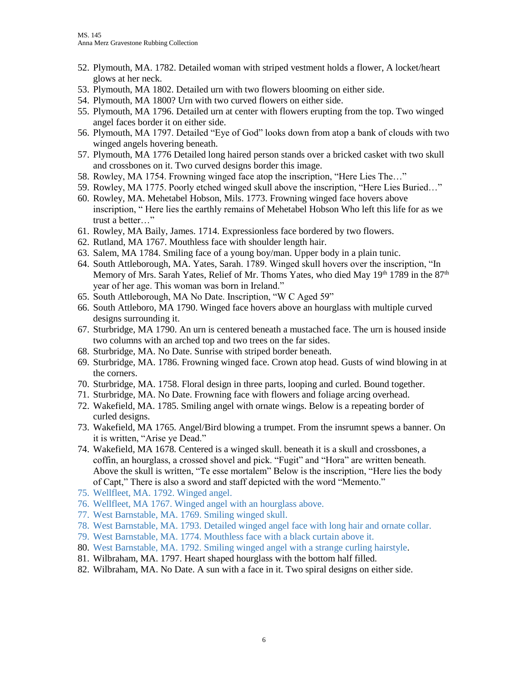- 52. Plymouth, MA. 1782. Detailed woman with striped vestment holds a flower, A locket/heart glows at her neck.
- 53. Plymouth, MA 1802. Detailed urn with two flowers blooming on either side.
- 54. Plymouth, MA 1800? Urn with two curved flowers on either side.
- 55. Plymouth, MA 1796. Detailed urn at center with flowers erupting from the top. Two winged angel faces border it on either side.
- 56. Plymouth, MA 1797. Detailed "Eye of God" looks down from atop a bank of clouds with two winged angels hovering beneath.
- 57. Plymouth, MA 1776 Detailed long haired person stands over a bricked casket with two skull and crossbones on it. Two curved designs border this image.
- 58. Rowley, MA 1754. Frowning winged face atop the inscription, "Here Lies The…"
- 59. Rowley, MA 1775. Poorly etched winged skull above the inscription, "Here Lies Buried…"
- 60. Rowley, MA. Mehetabel Hobson, Mils. 1773. Frowning winged face hovers above inscription, " Here lies the earthly remains of Mehetabel Hobson Who left this life for as we trust a better…"
- 61. Rowley, MA Baily, James. 1714. Expressionless face bordered by two flowers.
- 62. Rutland, MA 1767. Mouthless face with shoulder length hair.
- 63. Salem, MA 1784. Smiling face of a young boy/man. Upper body in a plain tunic.
- 64. South Attleborough, MA. Yates, Sarah. 1789. Winged skull hovers over the inscription, "In Memory of Mrs. Sarah Yates, Relief of Mr. Thoms Yates, who died May  $19<sup>th</sup> 1789$  in the  $87<sup>th</sup>$ year of her age. This woman was born in Ireland."
- 65. South Attleborough, MA No Date. Inscription, "W C Aged 59"
- 66. South Attleboro, MA 1790. Winged face hovers above an hourglass with multiple curved designs surrounding it.
- 67. Sturbridge, MA 1790. An urn is centered beneath a mustached face. The urn is housed inside two columns with an arched top and two trees on the far sides.
- 68. Sturbridge, MA. No Date. Sunrise with striped border beneath.
- 69. Sturbridge, MA. 1786. Frowning winged face. Crown atop head. Gusts of wind blowing in at the corners.
- 70. Sturbridge, MA. 1758. Floral design in three parts, looping and curled. Bound together.
- 71. Sturbridge, MA. No Date. Frowning face with flowers and foliage arcing overhead.
- 72. Wakefield, MA. 1785. Smiling angel with ornate wings. Below is a repeating border of curled designs.
- 73. Wakefield, MA 1765. Angel/Bird blowing a trumpet. From the insrumnt spews a banner. On it is written, "Arise ye Dead."
- 74. Wakefield, MA 1678. Centered is a winged skull. beneath it is a skull and crossbones, a coffin, an hourglass, a crossed shovel and pick. "Fugit" and "Hora" are written beneath. Above the skull is written, "Te esse mortalem" Below is the inscription, "Here lies the body of Capt," There is also a sword and staff depicted with the word "Memento."
- 75. Wellfleet, MA. 1792. Winged angel.
- 76. Wellfleet, MA 1767. Winged angel with an hourglass above.
- 77. West Barnstable, MA. 1769. Smiling winged skull.
- 78. West Barnstable, MA. 1793. Detailed winged angel face with long hair and ornate collar.
- 79. West Barnstable, MA. 1774. Mouthless face with a black curtain above it.
- 80. West Barnstable, MA. 1792. Smiling winged angel with a strange curling hairstyle.
- 81. Wilbraham, MA. 1797. Heart shaped hourglass with the bottom half filled.
- 82. Wilbraham, MA. No Date. A sun with a face in it. Two spiral designs on either side.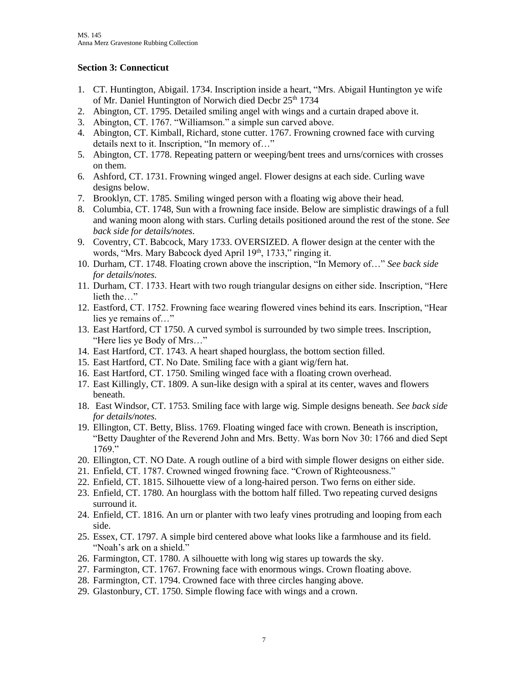### **Section 3: Connecticut**

- 1. CT. Huntington, Abigail. 1734. Inscription inside a heart, "Mrs. Abigail Huntington ye wife of Mr. Daniel Huntington of Norwich died Decbr 25<sup>th</sup> 1734
- 2. Abington, CT. 1795. Detailed smiling angel with wings and a curtain draped above it.
- 3. Abington, CT. 1767. "Williamson." a simple sun carved above.
- 4. Abington, CT. Kimball, Richard, stone cutter. 1767. Frowning crowned face with curving details next to it. Inscription, "In memory of…"
- 5. Abington, CT. 1778. Repeating pattern or weeping/bent trees and urns/cornices with crosses on them.
- 6. Ashford, CT. 1731. Frowning winged angel. Flower designs at each side. Curling wave designs below.
- 7. Brooklyn, CT. 1785. Smiling winged person with a floating wig above their head.
- 8. Columbia, CT. 1748, Sun with a frowning face inside. Below are simplistic drawings of a full and waning moon along with stars. Curling details positioned around the rest of the stone. *See back side for details/notes.*
- 9. Coventry, CT. Babcock, Mary 1733. OVERSIZED. A flower design at the center with the words, "Mrs. Mary Babcock dyed April 19<sup>th</sup>, 1733," ringing it.
- 10. Durham, CT. 1748. Floating crown above the inscription, "In Memory of…" *See back side for details/notes.*
- 11. Durham, CT. 1733. Heart with two rough triangular designs on either side. Inscription, "Here lieth the…"
- 12. Eastford, CT. 1752. Frowning face wearing flowered vines behind its ears. Inscription, "Hear lies ye remains of…"
- 13. East Hartford, CT 1750. A curved symbol is surrounded by two simple trees. Inscription, "Here lies ye Body of Mrs…"
- 14. East Hartford, CT. 1743. A heart shaped hourglass, the bottom section filled.
- 15. East Hartford, CT. No Date. Smiling face with a giant wig/fern hat.
- 16. East Hartford, CT. 1750. Smiling winged face with a floating crown overhead.
- 17. East Killingly, CT. 1809. A sun-like design with a spiral at its center, waves and flowers beneath.
- 18. East Windsor, CT. 1753. Smiling face with large wig. Simple designs beneath. *See back side for details/notes.*
- 19. Ellington, CT. Betty, Bliss. 1769. Floating winged face with crown. Beneath is inscription, "Betty Daughter of the Reverend John and Mrs. Betty. Was born Nov 30: 1766 and died Sept 1769."
- 20. Ellington, CT. NO Date. A rough outline of a bird with simple flower designs on either side.
- 21. Enfield, CT. 1787. Crowned winged frowning face. "Crown of Righteousness."
- 22. Enfield, CT. 1815. Silhouette view of a long-haired person. Two ferns on either side.
- 23. Enfield, CT. 1780. An hourglass with the bottom half filled. Two repeating curved designs surround it.
- 24. Enfield, CT. 1816. An urn or planter with two leafy vines protruding and looping from each side.
- 25. Essex, CT. 1797. A simple bird centered above what looks like a farmhouse and its field. "Noah's ark on a shield."
- 26. Farmington, CT. 1780. A silhouette with long wig stares up towards the sky.
- 27. Farmington, CT. 1767. Frowning face with enormous wings. Crown floating above.
- 28. Farmington, CT. 1794. Crowned face with three circles hanging above.
- 29. Glastonbury, CT. 1750. Simple flowing face with wings and a crown.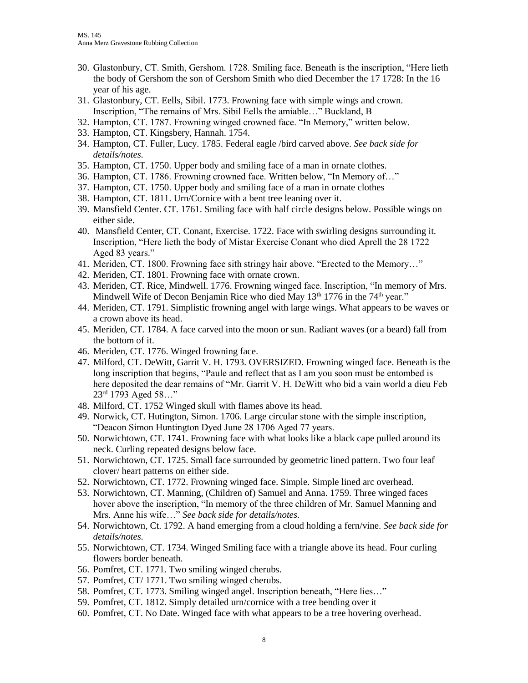- 30. Glastonbury, CT. Smith, Gershom. 1728. Smiling face. Beneath is the inscription, "Here lieth the body of Gershom the son of Gershom Smith who died December the 17 1728: In the 16 year of his age.
- 31. Glastonbury, CT. Eells, Sibil. 1773. Frowning face with simple wings and crown. Inscription, "The remains of Mrs. Sibil Eells the amiable…" Buckland, B
- 32. Hampton, CT. 1787. Frowning winged crowned face. "In Memory," written below.
- 33. Hampton, CT. Kingsbery, Hannah. 1754.
- 34. Hampton, CT. Fuller, Lucy. 1785. Federal eagle /bird carved above. *See back side for details/notes.*
- 35. Hampton, CT. 1750. Upper body and smiling face of a man in ornate clothes.
- 36. Hampton, CT. 1786. Frowning crowned face. Written below, "In Memory of…"
- 37. Hampton, CT. 1750. Upper body and smiling face of a man in ornate clothes
- 38. Hampton, CT. 1811. Urn/Cornice with a bent tree leaning over it.
- 39. Mansfield Center. CT. 1761. Smiling face with half circle designs below. Possible wings on either side.
- 40. Mansfield Center, CT. Conant, Exercise. 1722. Face with swirling designs surrounding it. Inscription, "Here lieth the body of Mistar Exercise Conant who died Aprell the 28 1722 Aged 83 years."
- 41. Meriden, CT. 1800. Frowning face sith stringy hair above. "Erected to the Memory…"
- 42. Meriden, CT. 1801. Frowning face with ornate crown.
- 43. Meriden, CT. Rice, Mindwell. 1776. Frowning winged face. Inscription, "In memory of Mrs. Mindwell Wife of Decon Benjamin Rice who died May 13<sup>th</sup> 1776 in the 74<sup>th</sup> year."
- 44. Meriden, CT. 1791. Simplistic frowning angel with large wings. What appears to be waves or a crown above its head.
- 45. Meriden, CT. 1784. A face carved into the moon or sun. Radiant waves (or a beard) fall from the bottom of it.
- 46. Meriden, CT. 1776. Winged frowning face.
- 47. Milford, CT. DeWitt, Garrit V. H. 1793. OVERSIZED. Frowning winged face. Beneath is the long inscription that begins, "Paule and reflect that as I am you soon must be entombed is here deposited the dear remains of "Mr. Garrit V. H. DeWitt who bid a vain world a dieu Feb  $23<sup>rd</sup>$  1793 Aged 58..."
- 48. Milford, CT. 1752 Winged skull with flames above its head.
- 49. Norwick, CT. Hutington, Simon. 1706. Large circular stone with the simple inscription, "Deacon Simon Huntington Dyed June 28 1706 Aged 77 years.
- 50. Norwichtown, CT. 1741. Frowning face with what looks like a black cape pulled around its neck. Curling repeated designs below face.
- 51. Norwichtown, CT. 1725. Small face surrounded by geometric lined pattern. Two four leaf clover/ heart patterns on either side.
- 52. Norwichtown, CT. 1772. Frowning winged face. Simple. Simple lined arc overhead.
- 53. Norwichtown, CT. Manning, (Children of) Samuel and Anna. 1759. Three winged faces hover above the inscription, "In memory of the three children of Mr. Samuel Manning and Mrs. Anne his wife…" *See back side for details/notes.*
- 54. Norwichtown, Ct. 1792. A hand emerging from a cloud holding a fern/vine. *See back side for details/notes.*
- 55. Norwichtown, CT. 1734. Winged Smiling face with a triangle above its head. Four curling flowers border beneath.
- 56. Pomfret, CT. 1771. Two smiling winged cherubs.
- 57. Pomfret, CT/ 1771. Two smiling winged cherubs.
- 58. Pomfret, CT. 1773. Smiling winged angel. Inscription beneath, "Here lies…"
- 59. Pomfret, CT. 1812. Simply detailed urn/cornice with a tree bending over it
- 60. Pomfret, CT. No Date. Winged face with what appears to be a tree hovering overhead.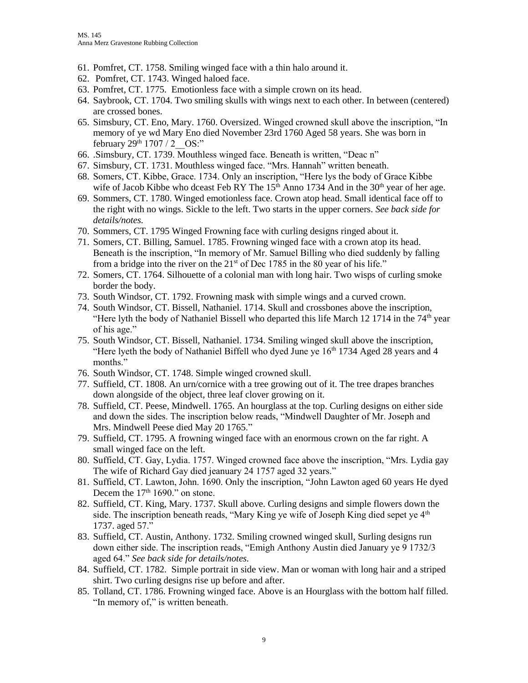- 61. Pomfret, CT. 1758. Smiling winged face with a thin halo around it.
- 62. Pomfret, CT. 1743. Winged haloed face.
- 63. Pomfret, CT. 1775. Emotionless face with a simple crown on its head.
- 64. Saybrook, CT. 1704. Two smiling skulls with wings next to each other. In between (centered) are crossed bones.
- 65. Simsbury, CT. Eno, Mary. 1760. Oversized. Winged crowned skull above the inscription, "In memory of ye wd Mary Eno died November 23rd 1760 Aged 58 years. She was born in february  $29^{th}$  1707 / 2 OS:"
- 66. .Simsbury, CT. 1739. Mouthless winged face. Beneath is written, "Deac n"
- 67. Simsbury, CT. 1731. Mouthless winged face. "Mrs. Hannah" written beneath.
- 68. Somers, CT. Kibbe, Grace. 1734. Only an inscription, "Here lys the body of Grace Kibbe wife of Jacob Kibbe who dceast Feb RY The  $15<sup>th</sup>$  Anno 1734 And in the 30<sup>th</sup> year of her age.
- 69. Sommers, CT. 1780. Winged emotionless face. Crown atop head. Small identical face off to the right with no wings. Sickle to the left. Two starts in the upper corners. *See back side for details/notes.*
- 70. Sommers, CT. 1795 Winged Frowning face with curling designs ringed about it.
- 71. Somers, CT. Billing, Samuel. 1785. Frowning winged face with a crown atop its head. Beneath is the inscription, "In memory of Mr. Samuel Billing who died suddenly by falling from a bridge into the river on the  $21<sup>st</sup>$  of Dec 1785 in the 80 year of his life."
- 72. Somers, CT. 1764. Silhouette of a colonial man with long hair. Two wisps of curling smoke border the body.
- 73. South Windsor, CT. 1792. Frowning mask with simple wings and a curved crown.
- 74. South Windsor, CT. Bissell, Nathaniel. 1714. Skull and crossbones above the inscription, "Here lyth the body of Nathaniel Bissell who departed this life March 12 1714 in the  $74<sup>th</sup>$  year of his age."
- 75. South Windsor, CT. Bissell, Nathaniel. 1734. Smiling winged skull above the inscription, "Here lyeth the body of Nathaniel Biffell who dyed June ye  $16<sup>th</sup> 1734$  Aged 28 years and 4 months."
- 76. South Windsor, CT. 1748. Simple winged crowned skull.
- 77. Suffield, CT. 1808. An urn/cornice with a tree growing out of it. The tree drapes branches down alongside of the object, three leaf clover growing on it.
- 78. Suffield, CT. Peese, Mindwell. 1765. An hourglass at the top. Curling designs on either side and down the sides. The inscription below reads, "Mindwell Daughter of Mr. Joseph and Mrs. Mindwell Peese died May 20 1765."
- 79. Suffield, CT. 1795. A frowning winged face with an enormous crown on the far right. A small winged face on the left.
- 80. Suffield, CT. Gay, Lydia. 1757. Winged crowned face above the inscription, "Mrs. Lydia gay The wife of Richard Gay died jeanuary 24 1757 aged 32 years."
- 81. Suffield, CT. Lawton, John. 1690. Only the inscription, "John Lawton aged 60 years He dyed Decem the 17<sup>th</sup> 1690." on stone.
- 82. Suffield, CT. King, Mary. 1737. Skull above. Curling designs and simple flowers down the side. The inscription beneath reads, "Mary King ye wife of Joseph King died sepet ye  $4<sup>th</sup>$ 1737. aged 57."
- 83. Suffield, CT. Austin, Anthony. 1732. Smiling crowned winged skull, Surling designs run down either side. The inscription reads, "Emigh Anthony Austin died January ye 9 1732/3 aged 64." *See back side for details/notes.*
- 84. Suffield, CT. 1782. Simple portrait in side view. Man or woman with long hair and a striped shirt. Two curling designs rise up before and after.
- 85. Tolland, CT. 1786. Frowning winged face. Above is an Hourglass with the bottom half filled. "In memory of," is written beneath.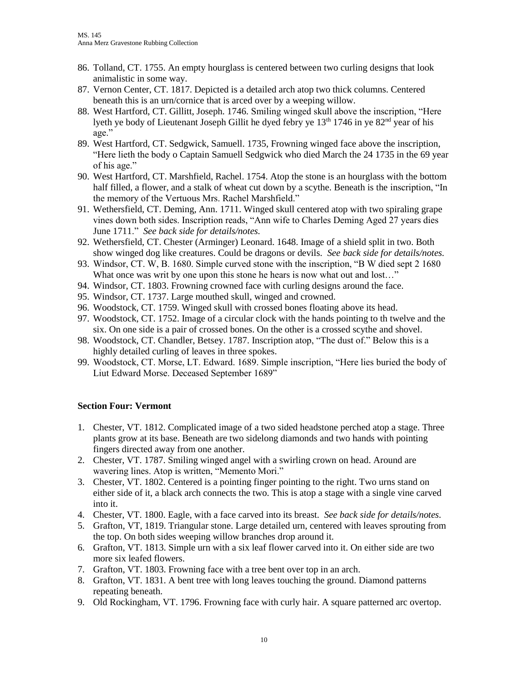- 86. Tolland, CT. 1755. An empty hourglass is centered between two curling designs that look animalistic in some way.
- 87. Vernon Center, CT. 1817. Depicted is a detailed arch atop two thick columns. Centered beneath this is an urn/cornice that is arced over by a weeping willow.
- 88. West Hartford, CT. Gillitt, Joseph. 1746. Smiling winged skull above the inscription, "Here lyeth ye body of Lieutenant Joseph Gillit he dyed febry ye  $13<sup>th</sup> 1746$  in ye  $82<sup>nd</sup>$  year of his age."
- 89. West Hartford, CT. Sedgwick, Samuell. 1735, Frowning winged face above the inscription, "Here lieth the body o Captain Samuell Sedgwick who died March the 24 1735 in the 69 year of his age."
- 90. West Hartford, CT. Marshfield, Rachel. 1754. Atop the stone is an hourglass with the bottom half filled, a flower, and a stalk of wheat cut down by a scythe. Beneath is the inscription, "In the memory of the Vertuous Mrs. Rachel Marshfield."
- 91. Wethersfield, CT. Deming, Ann. 1711. Winged skull centered atop with two spiraling grape vines down both sides. Inscription reads, "Ann wife to Charles Deming Aged 27 years dies June 1711." *See back side for details/notes.*
- 92. Wethersfield, CT. Chester (Arminger) Leonard. 1648. Image of a shield split in two. Both show winged dog like creatures. Could be dragons or devils. *See back side for details/notes.*
- 93. Windsor, CT. W, B. 1680. Simple curved stone with the inscription, "B W died sept 2 1680 What once was writ by one upon this stone he hears is now what out and lost..."
- 94. Windsor, CT. 1803. Frowning crowned face with curling designs around the face.
- 95. Windsor, CT. 1737. Large mouthed skull, winged and crowned.
- 96. Woodstock, CT. 1759. Winged skull with crossed bones floating above its head.
- 97. Woodstock, CT. 1752. Image of a circular clock with the hands pointing to th twelve and the six. On one side is a pair of crossed bones. On the other is a crossed scythe and shovel.
- 98. Woodstock, CT. Chandler, Betsey. 1787. Inscription atop, "The dust of." Below this is a highly detailed curling of leaves in three spokes.
- 99. Woodstock, CT. Morse, LT. Edward. 1689. Simple inscription, "Here lies buried the body of Liut Edward Morse. Deceased September 1689"

### **Section Four: Vermont**

- 1. Chester, VT. 1812. Complicated image of a two sided headstone perched atop a stage. Three plants grow at its base. Beneath are two sidelong diamonds and two hands with pointing fingers directed away from one another.
- 2. Chester, VT. 1787. Smiling winged angel with a swirling crown on head. Around are wavering lines. Atop is written, "Memento Mori."
- 3. Chester, VT. 1802. Centered is a pointing finger pointing to the right. Two urns stand on either side of it, a black arch connects the two. This is atop a stage with a single vine carved into it.
- 4. Chester, VT. 1800. Eagle, with a face carved into its breast. *See back side for details/notes.*
- 5. Grafton, VT, 1819. Triangular stone. Large detailed urn, centered with leaves sprouting from the top. On both sides weeping willow branches drop around it.
- 6. Grafton, VT. 1813. Simple urn with a six leaf flower carved into it. On either side are two more six leafed flowers.
- 7. Grafton, VT. 1803. Frowning face with a tree bent over top in an arch.
- 8. Grafton, VT. 1831. A bent tree with long leaves touching the ground. Diamond patterns repeating beneath.
- 9. Old Rockingham, VT. 1796. Frowning face with curly hair. A square patterned arc overtop.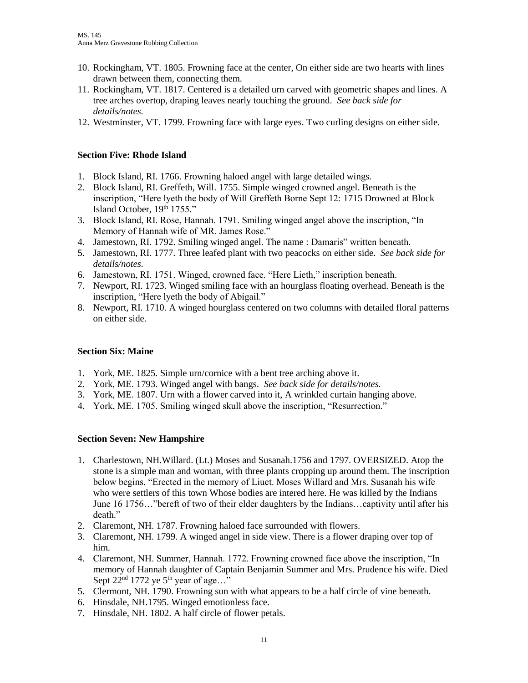- 10. Rockingham, VT. 1805. Frowning face at the center, On either side are two hearts with lines drawn between them, connecting them.
- 11. Rockingham, VT. 1817. Centered is a detailed urn carved with geometric shapes and lines. A tree arches overtop, draping leaves nearly touching the ground. *See back side for details/notes.*
- 12. Westminster, VT. 1799. Frowning face with large eyes. Two curling designs on either side.

## **Section Five: Rhode Island**

- 1. Block Island, RI. 1766. Frowning haloed angel with large detailed wings.
- 2. Block Island, RI. Greffeth, Will. 1755. Simple winged crowned angel. Beneath is the inscription, "Here lyeth the body of Will Greffeth Borne Sept 12: 1715 Drowned at Block Island October, 19th 1755."
- 3. Block Island, RI. Rose, Hannah. 1791. Smiling winged angel above the inscription, "In Memory of Hannah wife of MR. James Rose."
- 4. Jamestown, RI. 1792. Smiling winged angel. The name : Damaris" written beneath.
- 5. Jamestown, RI. 1777. Three leafed plant with two peacocks on either side. *See back side for details/notes.*
- 6. Jamestown, RI. 1751. Winged, crowned face. "Here Lieth," inscription beneath.
- 7. Newport, RI. 1723. Winged smiling face with an hourglass floating overhead. Beneath is the inscription, "Here lyeth the body of Abigail."
- 8. Newport, RI. 1710. A winged hourglass centered on two columns with detailed floral patterns on either side.

# **Section Six: Maine**

- 1. York, ME. 1825. Simple urn/cornice with a bent tree arching above it.
- 2. York, ME. 1793. Winged angel with bangs. *See back side for details/notes.*
- 3. York, ME. 1807. Urn with a flower carved into it, A wrinkled curtain hanging above.
- 4. York, ME. 1705. Smiling winged skull above the inscription, "Resurrection."

# **Section Seven: New Hampshire**

- 1. Charlestown, NH.Willard. (Lt.) Moses and Susanah.1756 and 1797. OVERSIZED. Atop the stone is a simple man and woman, with three plants cropping up around them. The inscription below begins, "Erected in the memory of Liuet. Moses Willard and Mrs. Susanah his wife who were settlers of this town Whose bodies are intered here. He was killed by the Indians June 16 1756…"bereft of two of their elder daughters by the Indians…captivity until after his death."
- 2. Claremont, NH. 1787. Frowning haloed face surrounded with flowers.
- 3. Claremont, NH. 1799. A winged angel in side view. There is a flower draping over top of him.
- 4. Claremont, NH. Summer, Hannah. 1772. Frowning crowned face above the inscription, "In memory of Hannah daughter of Captain Benjamin Summer and Mrs. Prudence his wife. Died Sept  $22<sup>nd</sup>$  1772 ye 5<sup>th</sup> year of age..."
- 5. Clermont, NH. 1790. Frowning sun with what appears to be a half circle of vine beneath.
- 6. Hinsdale, NH.1795. Winged emotionless face.
- 7. Hinsdale, NH. 1802. A half circle of flower petals.